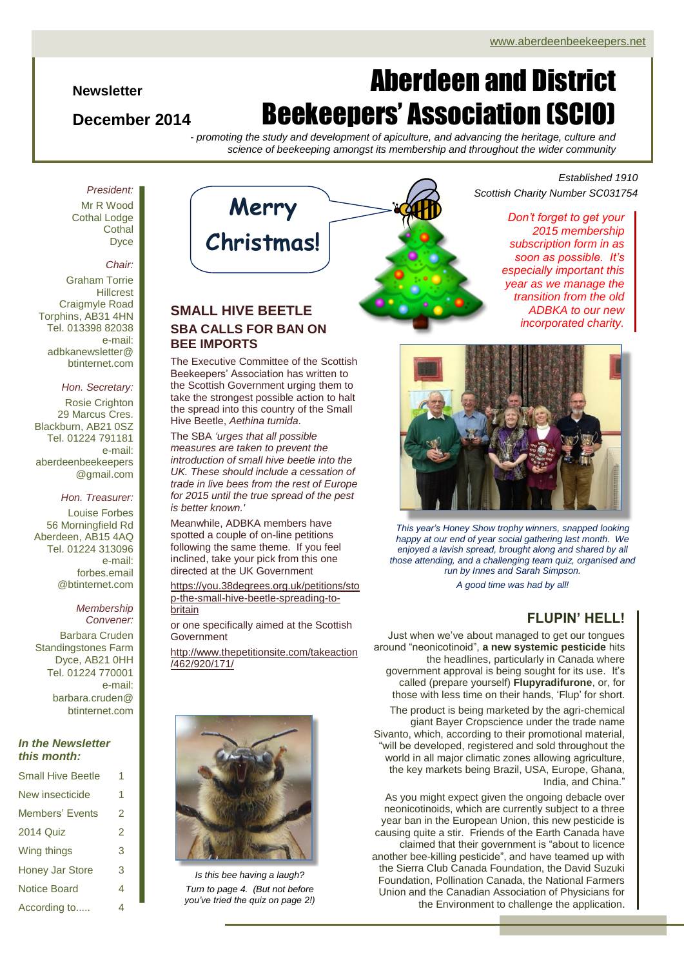### **Newsletter**

## **December 2014**

# Aberdeen and District Beekeepers' Association (SCIO)

*- promoting the study and development of apiculture, and advancing the heritage, culture and science of beekeeping amongst its membership and throughout the wider community*

Mr R Wood Cothal Lodge **Cothal** Dyce

*President:*

### *Chair:*

Graham Torrie **Hillcrest** Craigmyle Road Torphins, AB31 4HN Tel. 013398 82038 e-mail: adbkanewsletter@ btinternet.com

### *Hon. Secretary:*

Rosie Crighton 29 Marcus Cres. Blackburn, AB21 0SZ Tel. 01224 791181 e-mail: aberdeenbeekeepers @gmail.com

### *Hon. Treasurer:*

Louise Forbes 56 Morningfield Rd Aberdeen, AB15 4AQ Tel. 01224 313096 e-mail: forbes.email @btinternet.com

### *Membership Convener:*

Barbara Cruden Standingstones Farm Dyce, AB21 0HH Tel. 01224 770001 e-mail: barbara.cruden@ btinternet.com

### *In the Newsletter this month:*

| <b>Small Hive Beetle</b> | 1 |
|--------------------------|---|
| New insecticide          | 1 |
| Members' Events          | 2 |
| <b>2014 Quiz</b>         | 2 |
| Wing things              | 3 |
| <b>Honey Jar Store</b>   | 3 |
| <b>Notice Board</b>      | 4 |
| According to             | 4 |



## **SMALL HIVE BEETLE SBA CALLS FOR BAN ON BEE IMPORTS**

The Executive Committee of the Scottish Beekeepers' Association has written to the Scottish Government urging them to take the strongest possible action to halt the spread into this country of the Small Hive Beetle, *Aethina tumida*.

The SBA *'urges that all possible measures are taken to prevent the introduction of small hive beetle into the UK. These should include a cessation of trade in live bees from the rest of Europe for 2015 until the true spread of the pest is better known.'*

Meanwhile, ADBKA members have spotted a couple of on-line petitions following the same theme. If you feel inclined, take your pick from this one directed at the UK Government

[https://you.38degrees.org.uk/petitions/sto](https://you.38degrees.org.uk/petitions/stop-the-small-hive-beetle-spreading-to-britain) [p-the-small-hive-beetle-spreading-to](https://you.38degrees.org.uk/petitions/stop-the-small-hive-beetle-spreading-to-britain)[britain](https://you.38degrees.org.uk/petitions/stop-the-small-hive-beetle-spreading-to-britain)

or one specifically aimed at the Scottish Government

[http://www.thepetitionsite.com/takeaction](http://www.thepetitionsite.com/takeaction/462/920/171/) [/462/920/171/](http://www.thepetitionsite.com/takeaction/462/920/171/)



*Is this bee having a laugh? Turn to page 4. (But not before you've tried the quiz on page 2!)*



## *Established 1910 Scottish Charity Number SC031754*

*Don't forget to get your 2015 membership subscription form in as soon as possible. It's especially important this year as we manage the transition from the old ADBKA to our new incorporated charity.*



*This year's Honey Show trophy winners, snapped looking happy at our end of year social gathering last month. We enjoyed a lavish spread, brought along and shared by all those attending, and a challenging team quiz, organised and run by Innes and Sarah Simpson.*

*A good time was had by all!*

## **FLUPIN' HELL!**

Just when we've about managed to get our tongues around "neonicotinoid", **a new systemic pesticide** hits the headlines, particularly in Canada where government approval is being sought for its use. It's called (prepare yourself) **Flupyradifurone**, or, for those with less time on their hands, 'Flup' for short.

The product is being marketed by the agri-chemical giant Bayer Cropscience under the trade name Sivanto, which, according to their promotional material, "will be developed, registered and sold throughout the world in all major climatic zones allowing agriculture, the key markets being Brazil, USA, Europe, Ghana, India, and China."

As you might expect given the ongoing debacle over neonicotinoids, which are currently subject to a three year ban in the European Union, this new pesticide is causing quite a stir. Friends of the Earth Canada have claimed that their government is "about to licence another bee-killing pesticide", and have teamed up with the Sierra Club Canada Foundation, the David Suzuki Foundation, Pollination Canada, the National Farmers Union and the Canadian Association of Physicians for the Environment to challenge the application.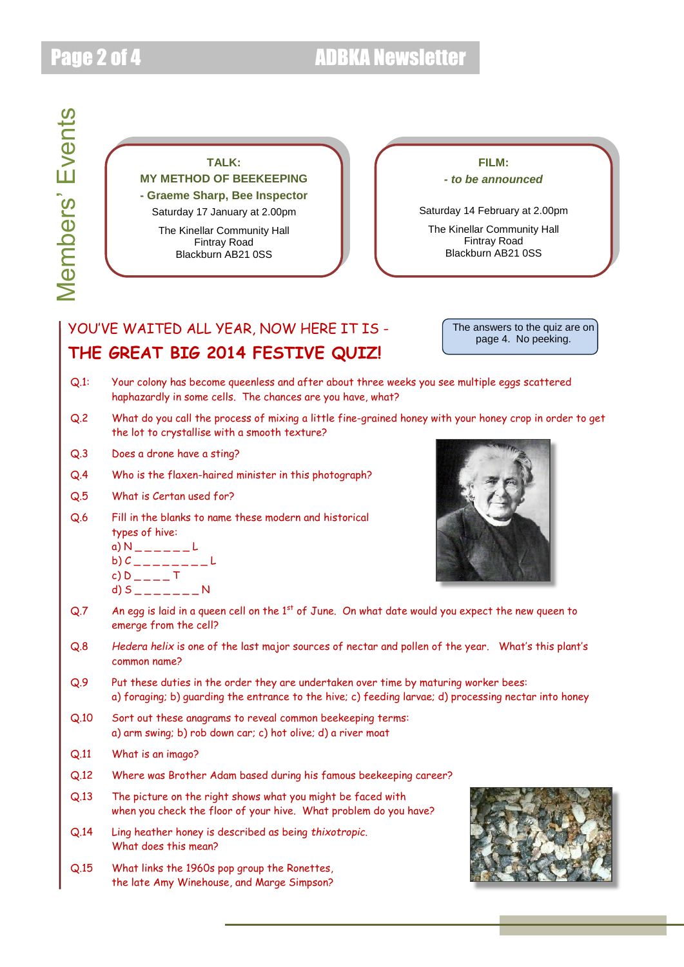## Page 2 of 4 ADBKA Newsletter

## **TALK: MY METHOD OF BEEKEEPING - Graeme Sharp, Bee Inspector** Saturday 17 January at 2.00pm

The Kinellar Community Hall Fintray Road Blackburn AB21 0SS

**FILM:** *- to be announced*

Saturday 14 February at 2.00pm

The Kinellar Community Hall Fintray Road Blackburn AB21 0SS

## YOU'VE WAITED ALL YEAR, NOW HERE IT IS -**THE GREAT BIG 2014 FESTIVE QUIZ!**

The answers to the quiz are on page 4. No peeking.

- Q.1: Your colony has become queenless and after about three weeks you see multiple eggs scattered haphazardly in some cells. The chances are you have, what?
- Q.2 What do you call the process of mixing a little fine-grained honey with your honey crop in order to get the lot to crystallise with a smooth texture?
- Q.3 Does a drone have a sting?
- Q.4 Who is the flaxen-haired minister in this photograph?
- Q.5 What is Certan used for?
- Q.6 Fill in the blanks to name these modern and historical types of hive:

a) N 
$$
\longrightarrow
$$
 L  
b) C

c) 
$$
D_{---}
$$
 T

d) 
$$
S_{\perp\perp\perp\perp\perp} = N
$$



- $Q.7$  An egg is laid in a queen cell on the 1st of June. On what date would you expect the new queen to emerge from the cell?
- Q.8 *Hedera helix* is one of the last major sources of nectar and pollen of the year. What's this plant's common name?
- Q.9 Put these duties in the order they are undertaken over time by maturing worker bees: a) foraging; b) guarding the entrance to the hive; c) feeding larvae; d) processing nectar into honey
- Q.10 Sort out these anagrams to reveal common beekeeping terms: a) arm swing; b) rob down car; c) hot olive; d) a river moat
- Q.11 What is an imago?
- Q.12 Where was Brother Adam based during his famous beekeeping career?
- Q.13 The picture on the right shows what you might be faced with when you check the floor of your hive. What problem do you have?
- Q.14 Ling heather honey is described as being *thixotropic*. What does this mean?
- Q.15 What links the 1960s pop group the Ronettes, the late Amy Winehouse, and Marge Simpson?

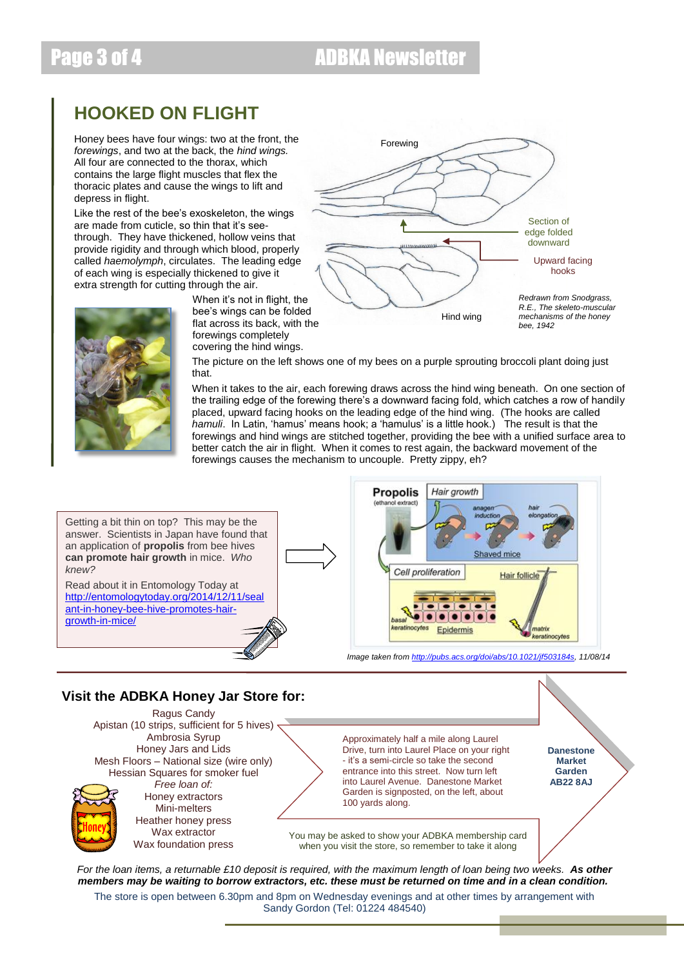## Page 3 of 4 ADBKA Newsletter

## **HOOKED ON FLIGHT**

Honey bees have four wings: two at the front, the *forewings*, and two at the back, the *hind wings.*  All four are connected to the thorax, which contains the large flight muscles that flex the thoracic plates and cause the wings to lift and depress in flight.

Like the rest of the bee's exoskeleton, the wings are made from cuticle, so thin that it's seethrough. They have thickened, hollow veins that provide rigidity and through which blood, properly called *haemolymph*, circulates. The leading edge of each wing is especially thickened to give it extra strength for cutting through the air.

When it's not in flight, the bee's wings can be folded flat across its back, with the forewings completely covering the hind wings.



The picture on the left shows one of my bees on a purple sprouting broccoli plant doing just that.

When it takes to the air, each forewing draws across the hind wing beneath. On one section of the trailing edge of the forewing there's a downward facing fold, which catches a row of handily placed, upward facing hooks on the leading edge of the hind wing. (The hooks are called *hamuli*. In Latin, 'hamus' means hook; a 'hamulus' is a little hook.) The result is that the forewings and hind wings are stitched together, providing the bee with a unified surface area to better catch the air in flight. When it comes to rest again, the backward movement of the forewings causes the mechanism to uncouple. Pretty zippy, eh?



## **Visit the ADBKA Honey Jar Store for:**



*For the loan items, a returnable £10 deposit is required, with the maximum length of loan being two weeks. As other members may be waiting to borrow extractors, etc. these must be returned on time and in a clean condition.* The store is open between 6.30pm and 8pm on Wednesday evenings and at other times by arrangement with Sandy Gordon (Tel: 01224 484540)